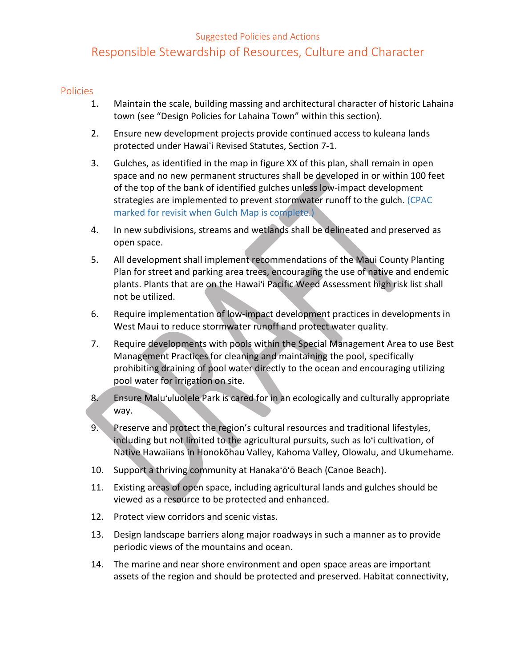#### Suggested Policies and Actions

# Responsible Stewardship of Resources, Culture and Character

#### Policies

- 1. Maintain the scale, building massing and architectural character of historic Lahaina town (see "Design Policies for Lahaina Town" within this section).
- 2. Ensure new development projects provide continued access to kuleana lands protected under Hawaiʻi Revised Statutes, Section 7-1.
- 3. Gulches, as identified in the map in figure XX of this plan, shall remain in open space and no new permanent structures shall be developed in or within 100 feet of the top of the bank of identified gulches unless low-impact development strategies are implemented to prevent stormwater runoff to the gulch. (CPAC marked for revisit when Gulch Map is complete.)
- 4. In new subdivisions, streams and wetlands shall be delineated and preserved as open space.
- 5. All development shall implement recommendations of the Maui County Planting Plan for street and parking area trees, encouraging the use of native and endemic plants. Plants that are on the Hawai'i Pacific Weed Assessment high risk list shall not be utilized.
- 6. Require implementation of low-impact development practices in developments in West Maui to reduce stormwater runoff and protect water quality.
- 7. Require developments with pools within the Special Management Area to use Best Management Practices for cleaning and maintaining the pool, specifically prohibiting draining of pool water directly to the ocean and encouraging utilizing pool water for irrigation on site.
- 8. Ensure Malu'uluolele Park is cared for in an ecologically and culturally appropriate way.
- 9. Preserve and protect the region's cultural resources and traditional lifestyles, including but not limited to the agricultural pursuits, such as lo'i cultivation, of Native Hawaiians in Honokōhau Valley, Kahoma Valley, Olowalu, and Ukumehame.
- 10. Support a thriving community at Hanaka'ō'ō Beach (Canoe Beach).
- 11. Existing areas of open space, including agricultural lands and gulches should be viewed as a resource to be protected and enhanced.
- 12. Protect view corridors and scenic vistas.
- 13. Design landscape barriers along major roadways in such a manner as to provide periodic views of the mountains and ocean.
- 14. The marine and near shore environment and open space areas are important assets of the region and should be protected and preserved. Habitat connectivity,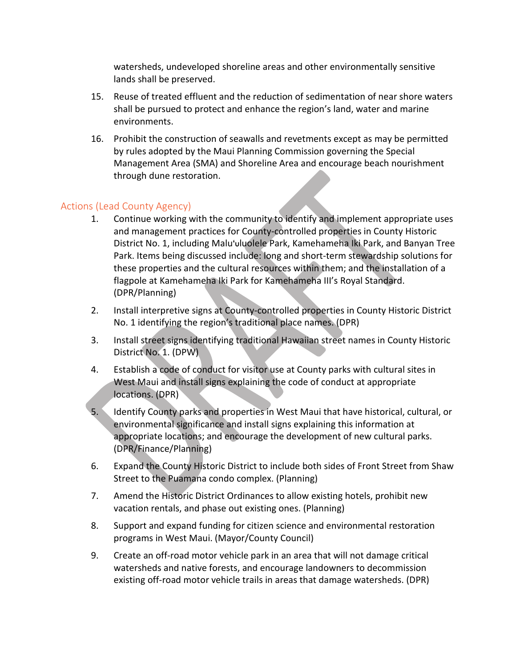watersheds, undeveloped shoreline areas and other environmentally sensitive lands shall be preserved.

- 15. Reuse of treated effluent and the reduction of sedimentation of near shore waters shall be pursued to protect and enhance the region's land, water and marine environments.
- 16. Prohibit the construction of seawalls and revetments except as may be permitted by rules adopted by the Maui Planning Commission governing the Special Management Area (SMA) and Shoreline Area and encourage beach nourishment through dune restoration.

## Actions (Lead County Agency)

- 1. Continue working with the community to identify and implement appropriate uses and management practices for County-controlled properties in County Historic District No. 1, including Malu'uluolele Park, Kamehameha Iki Park, and Banyan Tree Park. Items being discussed include: long and short-term stewardship solutions for these properties and the cultural resources within them; and the installation of a flagpole at Kamehameha Iki Park for Kamehameha III's Royal Standard. (DPR/Planning)
- 2. Install interpretive signs at County-controlled properties in County Historic District No. 1 identifying the region's traditional place names. (DPR)
- 3. Install street signs identifying traditional Hawaiian street names in County Historic District No. 1. (DPW)
- 4. Establish a code of conduct for visitor use at County parks with cultural sites in West Maui and install signs explaining the code of conduct at appropriate locations. (DPR)
- 5. Identify County parks and properties in West Maui that have historical, cultural, or environmental significance and install signs explaining this information at appropriate locations; and encourage the development of new cultural parks. (DPR/Finance/Planning)
- 6. Expand the County Historic District to include both sides of Front Street from Shaw Street to the Puamana condo complex. (Planning)
- 7. Amend the Historic District Ordinances to allow existing hotels, prohibit new vacation rentals, and phase out existing ones. (Planning)
- 8. Support and expand funding for citizen science and environmental restoration programs in West Maui. (Mayor/County Council)
- 9. Create an off-road motor vehicle park in an area that will not damage critical watersheds and native forests, and encourage landowners to decommission existing off-road motor vehicle trails in areas that damage watersheds. (DPR)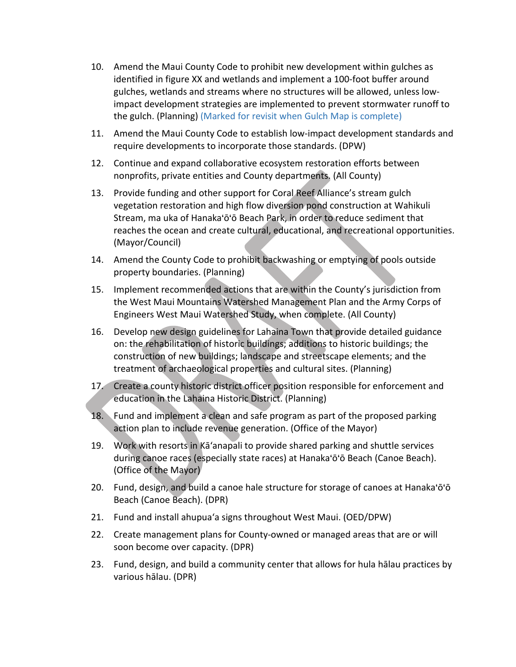- 10. Amend the Maui County Code to prohibit new development within gulches as identified in figure XX and wetlands and implement a 100-foot buffer around gulches, wetlands and streams where no structures will be allowed, unless lowimpact development strategies are implemented to prevent stormwater runoff to the gulch. (Planning) (Marked for revisit when Gulch Map is complete)
- 11. Amend the Maui County Code to establish low-impact development standards and require developments to incorporate those standards. (DPW)
- 12. Continue and expand collaborative ecosystem restoration efforts between nonprofits, private entities and County departments. (All County)
- 13. Provide funding and other support for Coral Reef Alliance's stream gulch vegetation restoration and high flow diversion pond construction at Wahikuli Stream, ma uka of Hanaka'ō'ō Beach Park, in order to reduce sediment that reaches the ocean and create cultural, educational, and recreational opportunities. (Mayor/Council)
- 14. Amend the County Code to prohibit backwashing or emptying of pools outside property boundaries. (Planning)
- 15. Implement recommended actions that are within the County's jurisdiction from the West Maui Mountains Watershed Management Plan and the Army Corps of Engineers West Maui Watershed Study, when complete. (All County)
- 16. Develop new design guidelines for Lahaina Town that provide detailed guidance on: the rehabilitation of historic buildings; additions to historic buildings; the construction of new buildings; landscape and streetscape elements; and the treatment of archaeological properties and cultural sites. (Planning)
- 17. Create a county historic district officer position responsible for enforcement and education in the Lahaina Historic District. (Planning)
- 18. Fund and implement a clean and safe program as part of the proposed parking action plan to include revenue generation. (Office of the Mayor)
- 19. Work with resorts in Kāʻanapali to provide shared parking and shuttle services during canoe races (especially state races) at Hanaka'ō'ō Beach (Canoe Beach). (Office of the Mayor)
- 20. Fund, design, and build a canoe hale structure for storage of canoes at Hanaka'ō'ō Beach (Canoe Beach). (DPR)
- 21. Fund and install ahupuaʻa signs throughout West Maui. (OED/DPW)
- 22. Create management plans for County-owned or managed areas that are or will soon become over capacity. (DPR)
- 23. Fund, design, and build a community center that allows for hula hālau practices by various hālau. (DPR)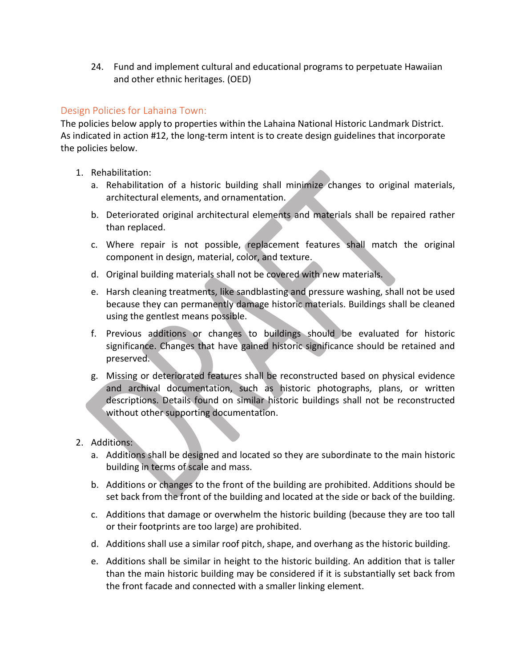24. Fund and implement cultural and educational programs to perpetuate Hawaiian and other ethnic heritages. (OED)

### Design Policies for Lahaina Town:

The policies below apply to properties within the Lahaina National Historic Landmark District. As indicated in action #12, the long-term intent is to create design guidelines that incorporate the policies below.

- 1. Rehabilitation:
	- a. Rehabilitation of a historic building shall minimize changes to original materials, architectural elements, and ornamentation.
	- b. Deteriorated original architectural elements and materials shall be repaired rather than replaced.
	- c. Where repair is not possible, replacement features shall match the original component in design, material, color, and texture.
	- d. Original building materials shall not be covered with new materials.
	- e. Harsh cleaning treatments, like sandblasting and pressure washing, shall not be used because they can permanently damage historic materials. Buildings shall be cleaned using the gentlest means possible.
	- f. Previous additions or changes to buildings should be evaluated for historic significance. Changes that have gained historic significance should be retained and preserved.
	- g. Missing or deteriorated features shall be reconstructed based on physical evidence and archival documentation, such as historic photographs, plans, or written descriptions. Details found on similar historic buildings shall not be reconstructed without other supporting documentation.
- 2. Additions:
	- a. Additions shall be designed and located so they are subordinate to the main historic building in terms of scale and mass.
	- b. Additions or changes to the front of the building are prohibited. Additions should be set back from the front of the building and located at the side or back of the building.
	- c. Additions that damage or overwhelm the historic building (because they are too tall or their footprints are too large) are prohibited.
	- d. Additions shall use a similar roof pitch, shape, and overhang as the historic building.
	- e. Additions shall be similar in height to the historic building. An addition that is taller than the main historic building may be considered if it is substantially set back from the front facade and connected with a smaller linking element.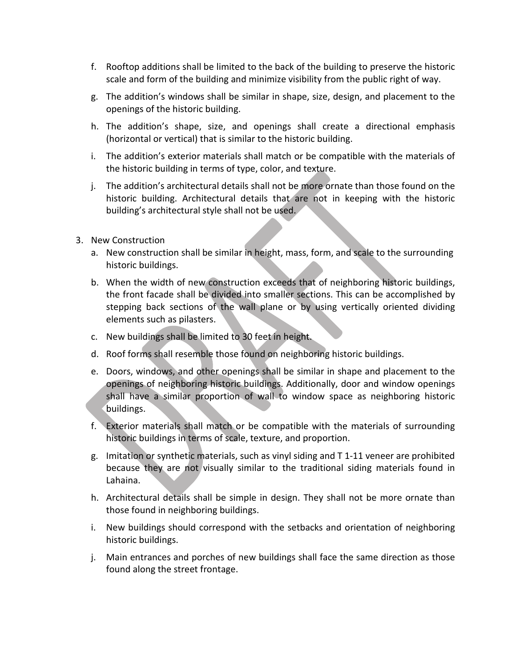- f. Rooftop additions shall be limited to the back of the building to preserve the historic scale and form of the building and minimize visibility from the public right of way.
- g. The addition's windows shall be similar in shape, size, design, and placement to the openings of the historic building.
- h. The addition's shape, size, and openings shall create a directional emphasis (horizontal or vertical) that is similar to the historic building.
- i. The addition's exterior materials shall match or be compatible with the materials of the historic building in terms of type, color, and texture.
- j. The addition's architectural details shall not be more ornate than those found on the historic building. Architectural details that are not in keeping with the historic building's architectural style shall not be used.
- 3. New Construction
	- a. New construction shall be similar in height, mass, form, and scale to the surrounding historic buildings.
	- b. When the width of new construction exceeds that of neighboring historic buildings, the front facade shall be divided into smaller sections. This can be accomplished by stepping back sections of the wall plane or by using vertically oriented dividing elements such as pilasters.
	- c. New buildings shall be limited to 30 feet in height.
	- d. Roof forms shall resemble those found on neighboring historic buildings.
	- e. Doors, windows, and other openings shall be similar in shape and placement to the openings of neighboring historic buildings. Additionally, door and window openings shall have a similar proportion of wall to window space as neighboring historic buildings.
	- f. Exterior materials shall match or be compatible with the materials of surrounding historic buildings in terms of scale, texture, and proportion.
	- g. Imitation or synthetic materials, such as vinyl siding and T 1-11 veneer are prohibited because they are not visually similar to the traditional siding materials found in Lahaina.
	- h. Architectural details shall be simple in design. They shall not be more ornate than those found in neighboring buildings.
	- i. New buildings should correspond with the setbacks and orientation of neighboring historic buildings.
	- j. Main entrances and porches of new buildings shall face the same direction as those found along the street frontage.